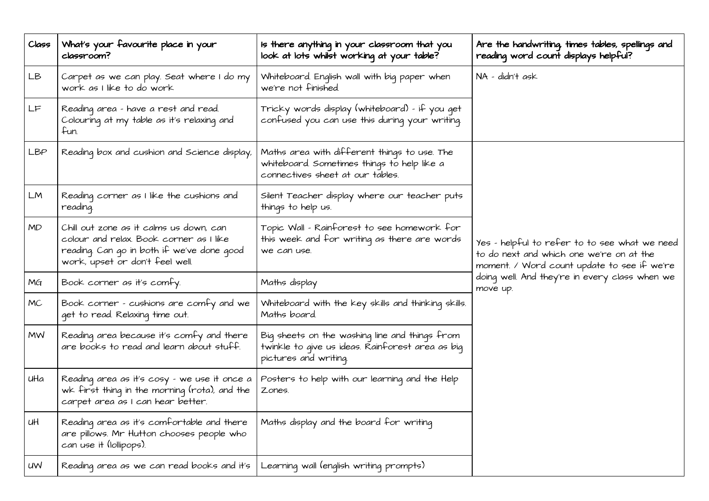| Class     | What's your favourite place in your<br>classroom?                                                                                                                   | Is there anything in your classroom that you<br>look at lots whilst working at your table?                                      | Are the handwriting, times tables, spellings and<br>reading word count displays helpful?                                                                                                               |  |
|-----------|---------------------------------------------------------------------------------------------------------------------------------------------------------------------|---------------------------------------------------------------------------------------------------------------------------------|--------------------------------------------------------------------------------------------------------------------------------------------------------------------------------------------------------|--|
| LB        | Carpet as we can play. Seat where I do my<br>work as I like to do work                                                                                              | Whiteboard. English wall with big paper when<br>we're not finished.                                                             | NA – didn't ask                                                                                                                                                                                        |  |
| LF        | Reading area - have a rest and read.<br>Colouring at my table as it's relaxing and<br>fun.                                                                          | Tricky words display (whiteboard) – if you get<br>confused you can use this during your writing.                                |                                                                                                                                                                                                        |  |
| LBP       | Reading box and cushion and Science display,                                                                                                                        | Maths area with different things to use. The<br>whiteboard. Sometimes things to help like a<br>connectives sheet at our tables. | Yes – helpful to refer to to see what we need<br>to do next and which one we're on at the<br>moment. / Word count update to see if we're<br>doing well. And they're in every class when we<br>move up. |  |
| LM        | Reading corner as I like the cushions and<br>reading.                                                                                                               | Silent Teacher display where our teacher puts<br>things to help us.                                                             |                                                                                                                                                                                                        |  |
| <b>MD</b> | Chill out zone as it calms us down, can<br>colour and relax. Book corner as I like<br>reading. Can go in both if we've done qood<br>work, upset or don't feel well. | Topic Wall - Rainforest to see homework for<br>this week and for writing as there are words<br>we can use.                      |                                                                                                                                                                                                        |  |
| MG        | Book corner as it's comfy.                                                                                                                                          | Maths display                                                                                                                   |                                                                                                                                                                                                        |  |
| <b>MC</b> | Book corner - cushions are comfy and we<br>get to read. Relaxing time out.                                                                                          | Whiteboard with the key skills and thinking skills.<br>Maths board.                                                             |                                                                                                                                                                                                        |  |
| <b>MW</b> | Reading area because it's comfy and there<br>are books to read and learn about stuff.                                                                               | Big sheets on the washing line and things from<br>twinkle to qive us ideas. Rainforest area as biq<br>pictures and writing.     |                                                                                                                                                                                                        |  |
| uHa       | Reading area as it's cosy - we use it once a<br>wk first thing in the morning (rota), and the<br>carpet area as I can hear better.                                  | Posters to help with our learning and the Help<br>Zones.                                                                        |                                                                                                                                                                                                        |  |
| иH        | Reading area as it's comfortable and there<br>are pillows. Mr Hutton chooses people who<br>can use it (lollipops).                                                  | Maths display and the board for writing                                                                                         |                                                                                                                                                                                                        |  |
| uw        | Reading area as we can read books and it's                                                                                                                          | Learning wall (english writing prompts)                                                                                         |                                                                                                                                                                                                        |  |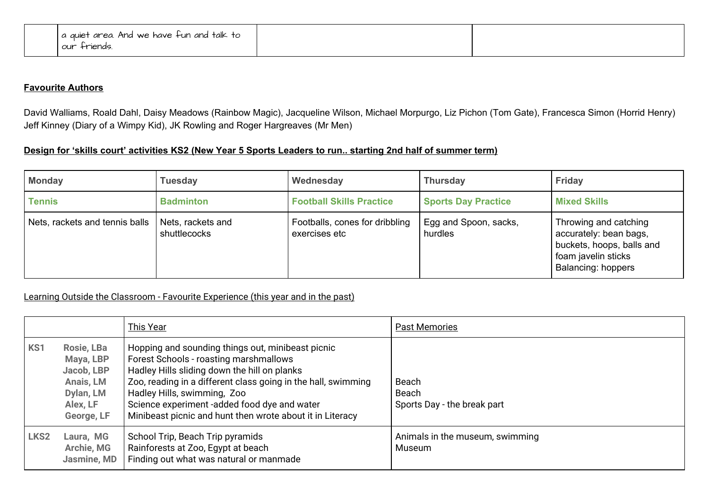| I a quiet area. And we have fun and talk to |  |
|---------------------------------------------|--|
| l our friends.                              |  |

## **Favourite Authors**

David Walliams, Roald Dahl, Daisy Meadows (Rainbow Magic), Jacqueline Wilson, Michael Morpurgo, Liz Pichon (Tom Gate), Francesca Simon (Horrid Henry) Jeff Kinney (Diary of a Wimpy Kid), JK Rowling and Roger Hargreaves (Mr Men)

## Design for 'skills court' activities KS2 (New Year 5 Sports Leaders to run.. starting 2nd half of summer term)

| <b>Monday</b>                  | <b>Tuesday</b>                    | Wednesday                                       | <b>Thursday</b>                  | <b>Friday</b>                                                                                                                    |
|--------------------------------|-----------------------------------|-------------------------------------------------|----------------------------------|----------------------------------------------------------------------------------------------------------------------------------|
| <b>Tennis</b>                  | <b>Badminton</b>                  | <b>Football Skills Practice</b>                 | <b>Sports Day Practice</b>       | <b>Mixed Skills</b>                                                                                                              |
| Nets, rackets and tennis balls | Nets, rackets and<br>shuttlecocks | Footballs, cones for dribbling<br>exercises etc | Egg and Spoon, sacks,<br>hurdles | Throwing and catching<br>accurately: bean bags,<br>buckets, hoops, balls and<br>foam javelin sticks<br><b>Balancing: hoppers</b> |

## Learning Outside the Classroom - Favourite Experience (this year and in the past)

|                  |                                                                                           | <b>This Year</b>                                                                                                                                                                                                                                                                                                                                         | <b>Past Memories</b>                          |
|------------------|-------------------------------------------------------------------------------------------|----------------------------------------------------------------------------------------------------------------------------------------------------------------------------------------------------------------------------------------------------------------------------------------------------------------------------------------------------------|-----------------------------------------------|
| KS1              | Rosie, LBa<br>Maya, LBP<br>Jacob, LBP<br>Anais, LM<br>Dylan, LM<br>Alex, LF<br>George, LF | Hopping and sounding things out, minibeast picnic<br>Forest Schools - roasting marshmallows<br>Hadley Hills sliding down the hill on planks<br>Zoo, reading in a different class going in the hall, swimming<br>Hadley Hills, swimming, Zoo<br>Science experiment -added food dye and water<br>Minibeast picnic and hunt then wrote about it in Literacy | Beach<br>Beach<br>Sports Day - the break part |
| LKS <sub>2</sub> | Laura, MG<br><b>Archie, MG</b><br>Jasmine, MD                                             | School Trip, Beach Trip pyramids<br>Rainforests at Zoo, Egypt at beach<br>Finding out what was natural or manmade                                                                                                                                                                                                                                        | Animals in the museum, swimming<br>Museum     |